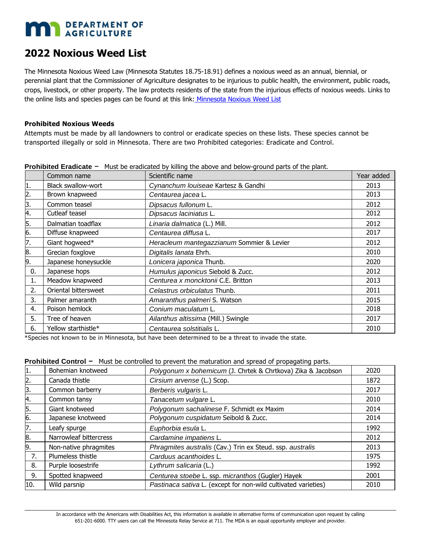# **MAN** DEPARTMENT OF

# **2022 Noxious Weed List**

The Minnesota Noxious Weed Law (Minnesota Statutes 18.75-18.91) defines a noxious weed as an annual, biennial, or perennial plant that the Commissioner of Agriculture designates to be injurious to public health, the environment, public roads, crops, livestock, or other property. The law protects residents of the state from the injurious effects of noxious weeds. Links to the online lists and species pages can be found at this link: Minnesota Noxious Weed List

## **Prohibited Noxious Weeds**

Attempts must be made by all landowners to control or eradicate species on these lists. These species cannot be transported illegally or sold in Minnesota. There are two Prohibited categories: Eradicate and Control.

|    | Common name          | Scientific name                           | Year added |
|----|----------------------|-------------------------------------------|------------|
| 1. | Black swallow-wort   | Cynanchum Iouiseae Kartesz & Gandhi       | 2013       |
| 2. | Brown knapweed       | Centaurea jacea L.                        | 2013       |
| 3. | Common teasel        | Dipsacus fullonum L.                      | 2012       |
| 4. | Cutleaf teasel       | Dipsacus laciniatus L.                    | 2012       |
| 5. | Dalmatian toadflax   | Linaria dalmatica (L.) Mill.              | 2012       |
| 6. | Diffuse knapweed     | Centaurea diffusa L.                      | 2017       |
| 7. | Giant hogweed*       | Heracleum mantegazzianum Sommier & Levier | 2012       |
| 8. | Grecian foxglove     | Digitalis lanata Ehrh.                    | 2010       |
| 9. | Japanese honeysuckle | Lonicera japonica Thunb.                  | 2020       |
| 0. | Japanese hops        | Humulus japonicus Siebold & Zucc.         | 2012       |
| 1. | Meadow knapweed      | Centurea x moncktonii C.E. Britton        | 2013       |
| 2. | Oriental bittersweet | Celastrus orbiculatus Thunb.              | 2011       |
| 3. | Palmer amaranth      | Amaranthus palmeri S. Watson              | 2015       |
| 4. | Poison hemlock       | Conium maculatum L.                       | 2018       |
| 5. | Tree of heaven       | Ailanthus altissima (Mill.) Swingle       | 2017       |
| 6. | Yellow starthistle*  | Centaurea solstitialis L.                 | 2010       |

**Prohibited Eradicate -** Must be eradicated by killing the above and below-ground parts of the plant.

\*Species not known to be in Minnesota, but have been determined to be a threat to invade the state.

| 1.  | Bohemian knotweed      | Polygonum x bohemicum (J. Chrtek & Chrtkova) Zika & Jacobson   | 2020 |  |  |  |  |
|-----|------------------------|----------------------------------------------------------------|------|--|--|--|--|
| 2.  | Canada thistle         | Cirsium arvense (L.) Scop.                                     | 1872 |  |  |  |  |
| 3.  | Common barberry        | Berberis vulgaris L.                                           | 2017 |  |  |  |  |
| 4.  | Common tansy           | Tanacetum vulgare L.                                           | 2010 |  |  |  |  |
| 5.  | Giant knotweed         | Polygonum sachalinese F. Schmidt ex Maxim                      | 2014 |  |  |  |  |
| 6.  | Japanese knotweed      | Polygonum cuspidatum Seibold & Zucc.                           | 2014 |  |  |  |  |
| 7.  | Leafy spurge           | Euphorbia esula L.                                             | 1992 |  |  |  |  |
| 8.  | Narrowleaf bittercress | Cardamine impatiens L.                                         | 2012 |  |  |  |  |
| 9.  | Non-native phragmites  | Phragmites australis (Cav.) Trin ex Steud. ssp. australis      | 2013 |  |  |  |  |
| 7.  | Plumeless thistle      | Carduus acanthoides L.                                         | 1975 |  |  |  |  |
| 8.  | Purple loosestrife     | Lythrum salicaria (L.)                                         | 1992 |  |  |  |  |
| 9.  | Spotted knapweed       | Centurea stoebe L. ssp. micranthos (Gugler) Hayek              | 2001 |  |  |  |  |
| 10. | Wild parsnip           | Pastinaca sativa L. (except for non-wild cultivated varieties) | 2010 |  |  |  |  |
|     |                        |                                                                |      |  |  |  |  |

# **Prohibited Control -** Must be controlled to prevent the maturation and spread of propagating parts.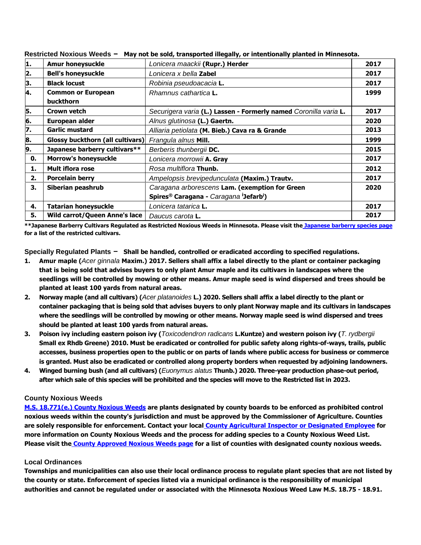|    | . .u, u. be boru, aanoportea megany/ or mtentronany prantea in r minebotal |                                                                            |      |  |  |  |
|----|----------------------------------------------------------------------------|----------------------------------------------------------------------------|------|--|--|--|
| 1. | <b>Amur honeysuckle</b>                                                    | Lonicera maackii (Rupr.) Herder                                            | 2017 |  |  |  |
| 2. | <b>Bell's honeysuckle</b>                                                  | Lonicera x bella <b>Zabel</b>                                              | 2017 |  |  |  |
| 3. | <b>Black locust</b>                                                        | Robinia pseudoacacia L.                                                    | 2017 |  |  |  |
| 4. | <b>Common or European</b>                                                  | Rhamnus cathartica <b>L.</b>                                               | 1999 |  |  |  |
|    | <b>buckthorn</b>                                                           |                                                                            |      |  |  |  |
| 5. | Crown vetch                                                                | Securigera varia (L.) Lassen - Formerly named Coronilla varia L.           | 2017 |  |  |  |
| 6. | European alder                                                             | Alnus glutinosa (L.) Gaertn.                                               | 2020 |  |  |  |
| 7. | <b>Garlic mustard</b>                                                      | Alliaria petiolata (M. Bieb.) Cava ra & Grande                             | 2013 |  |  |  |
| 8. | <b>Glossy buckthorn (all cultivars)</b>                                    | Frangula alnus Mill.                                                       | 1999 |  |  |  |
| 9. | Japanese barberry cultivars**                                              | Berberis thunbergii DC.                                                    | 2015 |  |  |  |
| 0. | <b>Morrow's honeysuckle</b>                                                | Lonicera morrowii A. Gray                                                  | 2017 |  |  |  |
| 1. | <b>Mult iflora rose</b>                                                    | Rosa multiflora Thunb.                                                     | 2012 |  |  |  |
| 2. | <b>Porcelain berry</b>                                                     | Ampelopsis brevipedunculata (Maxim.) Trautv.                               | 2017 |  |  |  |
| З. | Siberian peashrub                                                          | Caragana arborescens Lam. (exemption for Green                             | 2020 |  |  |  |
|    |                                                                            | Spires <sup>®</sup> Caragana - Caragana <sup>i</sup> Jefarb <sup>i</sup> ) |      |  |  |  |
| 4. | <b>Tatarian honeysuckle</b>                                                | Lonicera tatarica <b>L.</b>                                                | 2017 |  |  |  |
| 5. | Wild carrot/Queen Anne's lace                                              | Daucus carota <b>L.</b>                                                    | 2017 |  |  |  |

**Restricted Noxious Weeds** - **May not be sold, transported illegally, or intentionally planted in Minnesota.**

**\*\*Japanese Barberry Cultivars Regulated as Restricted Noxious Weeds in Minnesota. Please visit the Japanese barberry species page for a list of the restricted cultivars.** 

**Specially Regulated Plants** - **Shall be handled, controlled or eradicated according to specified regulations.**

- **1. Amur maple (***Acer ginnala* **Maxim.) 2017. Sellers shall affix a label directly to the plant or container packaging that is being sold that advises buyers to only plant Amur maple and its cultivars in landscapes where the seedlings will be controlled by mowing or other means. Amur maple seed is wind dispersed and trees should be planted at least 100 yards from natural areas.**
- **2. Norway maple (and all cultivars) (***Acer platanoides* **L.) 2020. Sellers shall affix a label directly to the plant or container packaging that is being sold that advises buyers to only plant Norway maple and its cultivars in landscapes where the seedlings will be controlled by mowing or other means. Norway maple seed is wind dispersed and trees should be planted at least 100 yards from natural areas.**
- **3. Poison ivy including eastern poison ivy (***Toxicodendron radicans* **L.Kuntze) and western poison ivy (***T. rydbergii*  **Small ex Rhdb Greene) 2010. Must be eradicated or controlled for public safety along rights-of-ways, trails, public accesses, business properties open to the public or on parts of lands where public access for business or commerce is granted. Must also be eradicated or controlled along property borders when requested by adjoining landowners.**
- **4. Winged burning bush (and all cultivars) (***Euonymus alatus* **Thunb.) 2020. Three-year production phase-out period, after which sale of this species will be prohibited and the species will move to the Restricted list in 2023.**

#### **County Noxious Weeds**

**M.S. 18.771(e.) County Noxious Weeds are plants designated by county boards to be enforced as prohibited control noxious weeds within the county's jurisdiction and must be approved by the Commissioner of Agriculture. Counties are solely responsible for enforcement. Contact your local County Agricultural Inspector or Designated Employee for more information on County Noxious Weeds and the process for adding species to a County Noxious Weed List. Please visit the County Approved Noxious Weeds page for a list of counties with designated county noxious weeds.**

#### **Local Ordinances**

**Townships and municipalities can also use their local ordinance process to regulate plant species that are not listed by the county or state. Enforcement of species listed via a municipal ordinance is the responsibility of municipal authorities and cannot be regulated under or associated with the Minnesota Noxious Weed Law M.S. 18.75 - 18.91.**